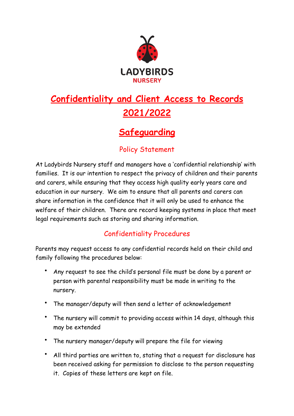

## **Confidentiality and Client Access to Records 2021/2022**

## **Safeguarding**

## Policy Statement

At Ladybirds Nursery staff and managers have a 'confidential relationship' with families. It is our intention to respect the privacy of children and their parents and carers, while ensuring that they access high quality early years care and education in our nursery. We aim to ensure that all parents and carers can share information in the confidence that it will only be used to enhance the welfare of their children. There are record keeping systems in place that meet legal requirements such as storing and sharing information.

## Confidentiality Procedures

Parents may request access to any confidential records held on their child and family following the procedures below:

- Any request to see the child's personal file must be done by a parent or person with parental responsibility must be made in writing to the nursery.
- The manager/deputy will then send a letter of acknowledgement
- The nursery will commit to providing access within 14 days, although this may be extended
- The nursery manager/deputy will prepare the file for viewing
- All third parties are written to, stating that a request for disclosure has been received asking for permission to disclose to the person requesting it. Copies of these letters are kept on file.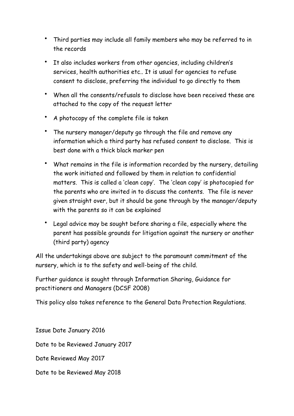- Third parties may include all family members who may be referred to in the records
- It also includes workers from other agencies, including children's services, health authorities etc.. It is usual for agencies to refuse consent to disclose, preferring the individual to go directly to them
- When all the consents/refusals to disclose have been received these are attached to the copy of the request letter
- A photocopy of the complete file is taken
- The nursery manager/deputy go through the file and remove any information which a third party has refused consent to disclose. This is best done with a thick black marker pen
- What remains in the file is information recorded by the nursery, detailing the work initiated and followed by them in relation to confidential matters. This is called a 'clean copy'. The 'clean copy' is photocopied for the parents who are invited in to discuss the contents. The file is never given straight over, but it should be gone through by the manager/deputy with the parents so it can be explained
- Legal advice may be sought before sharing a file, especially where the parent has possible grounds for litigation against the nursery or another (third party) agency

All the undertakings above are subject to the paramount commitment of the nursery, which is to the safety and well-being of the child.

Further guidance is sought through Information Sharing, Guidance for practitioners and Managers (DCSF 2008)

This policy also takes reference to the General Data Protection Regulations.

Issue Date January 2016 Date to be Reviewed January 2017 Date Reviewed May 2017 Date to be Reviewed May 2018